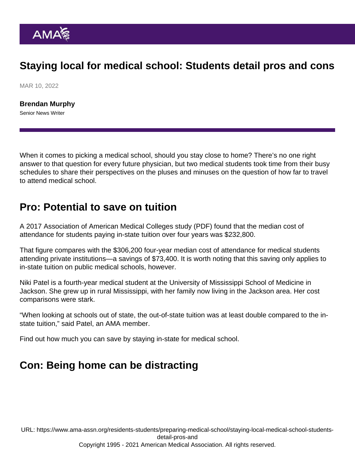# Staying local for medical school: Students detail pros and cons

MAR 10, 2022

[Brendan Murphy](https://www.ama-assn.org/news-leadership-viewpoints/authors-news-leadership-viewpoints/brendan-murphy) Senior News Writer

When it comes to picking a medical school, should you stay close to home? There's no one right answer to that question for every future physician, but two medical students took time from their busy schedules to share their perspectives on the pluses and minuses on the question of how far to travel to attend medical school.

#### Pro: Potential to save on tuition

A 2017 [Association of American Medical Colleges study](https://www.aamc.org/system/files/reports/1/august2017anupdatedlookatattendancecostandmedicalstudentdebtatu.pdf) (PDF) found that the median cost of attendance for students paying in-state tuition over four years was \$232,800.

That figure compares with the \$306,200 four-year median cost of attendance for medical students attending private institutions—a savings of \$73,400. It is worth noting that this saving only applies to in-state tuition on public medical schools, however.

Niki Patel is a fourth-year medical student at the University of Mississippi School of Medicine in Jackson. She grew up in rural Mississippi, with her family now living in the Jackson area. Her cost comparisons were stark.

"When looking at schools out of state, the out-of-state tuition was at least double compared to the instate tuition," said Patel, an AMA member.

Find out how much you can [save by staying in-state for medical school.](https://www.ama-assn.org/residents-students/preparing-medical-school/how-much-can-you-save-staying-state-medical-school)

# Con: Being home can be distracting

URL: [https://www.ama-assn.org/residents-students/preparing-medical-school/staying-local-medical-school-students](https://www.ama-assn.org/residents-students/preparing-medical-school/staying-local-medical-school-students-detail-pros-and)[detail-pros-and](https://www.ama-assn.org/residents-students/preparing-medical-school/staying-local-medical-school-students-detail-pros-and) Copyright 1995 - 2021 American Medical Association. All rights reserved.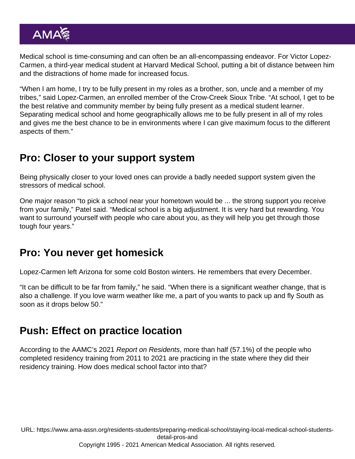Medical school is time-consuming and can often be an all-encompassing endeavor. For Victor Lopez-Carmen, a third-year medical student at Harvard Medical School, putting a bit of distance between him and the distractions of home made for increased focus.

"When I am home, I try to be fully present in my roles as a brother, son, uncle and a member of my tribes," said Lopez-Carmen, an enrolled member of the Crow-Creek Sioux Tribe. "At school, I get to be the best relative and community member by being fully present as a medical student learner. Separating medical school and home geographically allows me to be fully present in all of my roles and gives me the best chance to be in environments where I can give maximum focus to the different aspects of them."

# Pro: Closer to your support system

Being physically closer to your loved ones can provide a badly needed support system given the stressors of medical school.

One major reason "to pick a school near your hometown would be ... the strong support you receive from your family," Patel said. "Medical school is a big adjustment. It is very hard but rewarding. You want to surround yourself with people who care about you, as they will help you get through those tough four years."

# Pro: You never get homesick

Lopez-Carmen left Arizona for some cold Boston winters. He remembers that every December.

"It can be difficult to be far from family," he said. "When there is a significant weather change, that is also a challenge. If you love warm weather like me, a part of you wants to pack up and fly South as soon as it drops below 50."

# Push: Effect on practice location

According to the AAMC's 2021 Report on Residents, more than half (57.1%) of the people who completed residency training from 2011 to 2021 are practicing in the state where they did their residency training. How does medical school factor into that?

URL: [https://www.ama-assn.org/residents-students/preparing-medical-school/staying-local-medical-school-students](https://www.ama-assn.org/residents-students/preparing-medical-school/staying-local-medical-school-students-detail-pros-and)[detail-pros-and](https://www.ama-assn.org/residents-students/preparing-medical-school/staying-local-medical-school-students-detail-pros-and) Copyright 1995 - 2021 American Medical Association. All rights reserved.